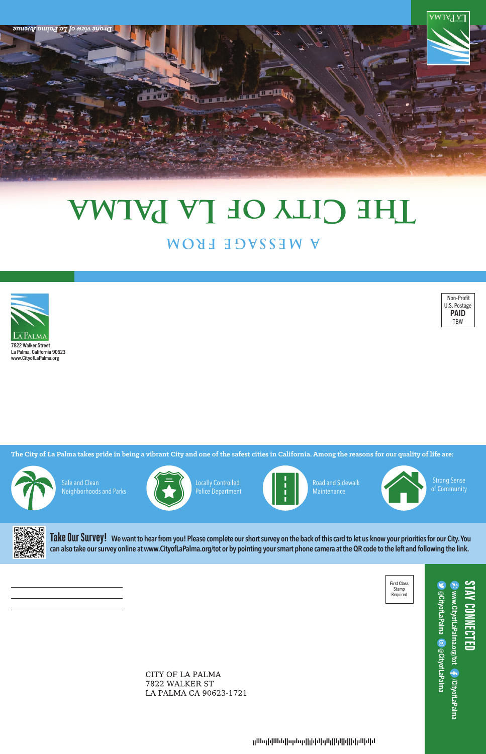

7822 Walker Street La Palma, California 90623 www.CityofLaPalma.org

> Road and Sidewalk **Maintenance** Locally Controlled **Controlled Controlled Controlled Community** Road and Sidewalk **Community Community Community**

Strong Sense<br>of Community



**The City of La Palma takes pride in being a vibrant City and one of the safest cities in California. Among the reasons for our quality of life are:**



First Class Stamp Required

CITY OF LA PALMA 7822 WALKER ST LA PALMA CA 90623-1721

րանիանին կերկիկներին կազմից անվել



### **A MESSAGE FROM DE CILL OF LA PALAA**



**STAY CONNECTED PONNECTE** 

JecityofLaPalma © @CityofLaPalma www.CityofLaPalma.org/tot  $@$ CityofLaPalma  $@$  $@$ CityofLaPalma www.CityofLaPalma.org/tot /CityofLaPalma **F** /CityofLaPalma

Police Department



Safe and Clean Neighborhoods and Parks



**Take Our Survey! We want to hear from you! Please complete our short survey on the back of this card to let us know your priorities for our City. You can also take our survey online at www.CityofLaPalma.org/tot or by pointing your smart phone camera at the QR code to the left and following the link.**